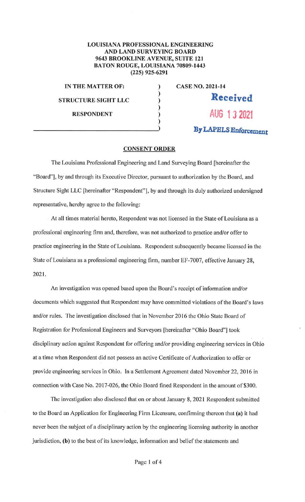## **LOUISIANA PROFESSIONAL ENGINEERING AND LAND SURVEYING BOARD 9643 BROOKLINE AVENUE, SUITE 121 BATON ROUGE, LOUISIANA 70809-1443 (225) 925-6291**

) ) ) ) ) )

**IN THE MATTER OF: STRUCTURE SIGHT LLC** 

**RESPONDENT** 

**CASE NO. 2021-14** 

**AUG 1 J 2021** 

**By LAPELS Bnforc:cmcnt** 

**Received** 

The Louisiana Professional Engineering and Land Surveying Board [hereinafter the "Board"], by and through its Executive Director, pursuant to authorization by the Board, and Structure Sight LLC [hereinafter "Respondent"], by and through its duly authorized undersigned representative, hereby agree to the following:

**CONSENT ORDER** 

At all times material hereto, Respondent was not licensed in the State of Louisiana as a professional engineering firm and, therefore, was not authorized to practice and/or offer to practice engineering in the State of Louisiana. Respondent subsequently became licensed in the State of Louisiana as a professional engineering firm, number EF-7007, effective January 28, 2021.

An investigation was opened based upon the Board's receipt of information and/or documents which suggested that Respondent may have committed violations of the Board's laws and/or rules. The investigation disclosed that in November 2016 the Ohio State Board of Registration for Professional Engineers and Surveyors [hereinafter "Ohio Board"] took disciplinary action against Respondent for offering and/or providing engineering services in Ohio at a time when Respondent did not possess an active Certificate of Authorization to offer or provide engineering services in Ohio. In a Settlement Agreement dated November 22, 20 16 in connection with Case No. 2017-026, the Ohio Board fined Respondent in the amount of \$300.

The investigation also disclosed that on or about January 8, 2021 Respondent submitted to the Board an Application for Engineering Firm Licensure, confirming thereon that (a) it had never been the subject of a disciplinary action by the engineering licensing authority in another jurisdiction, (b) to the best of its knowledge, information and belief the statements and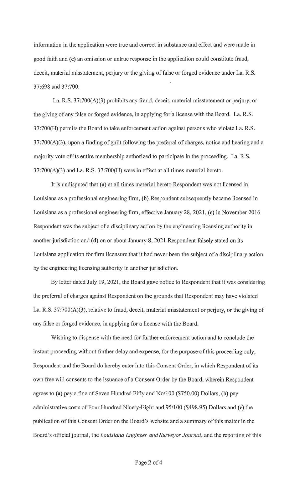information in the application were true and correct in substance and effect and were made in good faith and (c) an omission or untrue response in the application could constitute fraud, deceit, material misstatement, perjury or the giving of false or forged evidence under La. R.S. 37:698 and 37:700.

La. R.S. 37:700(A)(3) prohibits any fraud, deceit, material misstatement or perjury, or the giving of any false or forged evidence, in applying for a license with the Board. La. R.S. 37:700(H) permits the Board to take enforcement action against persons who violate La. R.S. 37:700(A)(3), upon a finding of guilt following the preferral of charges, notice and hearing and a majority vote of its entire membership authorized to participate in the proceeding. La. R.S.  $37:700(A)(3)$  and La. R.S.  $37:700(H)$  were in effect at all times material hereto.

It is undisputed that **(a)** at all times material hereto Respondent was not licensed in Louisiana as a professional engineering firm, **(b)** Respondent subsequently became licensed in Louisiana as a professional engineering firm, effective January 28, 2021, (c) in November 2016 Respondent was the subject of a disciplinary action by the engineering licensing authority in another jurisdiction and (d) on or about January 8, 2021 Respondent falsely stated on its Louisiana application for firm licensure that it had never been the subject of a disciplinary action by the engineering licensing authority in another jurisdiction.

By letter dated July 19, 2021, the Board gave notice to Respondent that it was considering the preferral of charges against Respondent on the grounds that Respondent may have violated La. R.S.  $37:700(A)(3)$ , relative to fraud, deceit, material misstatement or perjury, or the giving of any false or forged evidence, in applying for a license with the Board.

Wishing to dispense with the need for further enforcement action and to conclude the instant proceeding without further delay and expense, for the purpose of this proceeding only, Respondent and the Board do hereby enter into this Consent Order, in which Respondent of its own free will consents to the issuance of a Consent Order by the Board, wherein Respondent agrees to (a) pay a fine of Seven Hundred Fifty and No/100 (\$750.00) Dollars, (b) pay administrative costs of Four Hundred Ninety-Eight and 95/100 (\$498.95) Dollars and (c) the publication of this Consent Order on the Board's website and a summary of this matter in the Board's official journal, the *Louisiana Engineer and Surveyor Journal,* and the reporting of this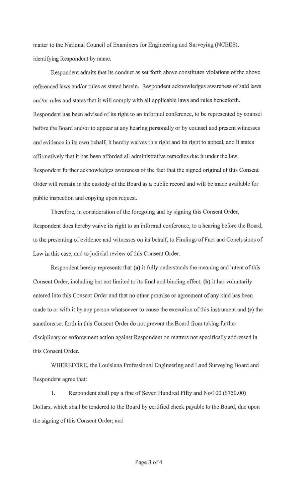matter to the National Council of Examiners for Engineering and Surveying (NCEES), identifying Respondent by name.

Respondent admits that its conduct as set forth above constitutes violations of the above referenced laws and/or rules as stated herein. Respondent acknowledges awareness of said Jaws and/or rules and states that it will comply with all applicable laws and rules henceforth. Respondent has been advised of its right to an informal conference, to be represented by counsel before the Board and/or to appear at any hearing personally or by counsel and present witnesses and evidence in its own behalf, it hereby waives this right and its right to appeal, and it states affirmatively that it has been afforded all administrative remedies due it under the law. Respondent further acknowledges awareness of the fact that the signed original of this Consent Order will remain in the custody of the Board as a public record and will be made available for public inspection and copying upon request.

Therefore, in consideration of the foregoing and by signing this Consent Order, Respondent does hereby waive its right to an informal conference, to a hearing before the Board, to the presenting of evidence and witnesses on its behalf, to Findings of Fact and Conclusions of Law in this case, and to judicial review of this Consent Order.

Respondent hereby represents that (a) it fully understands the meaning and intent of this Consent Order, including but not limited to its final and binding effect, (b) it has voluntarily entered into this Consent Order and that no other promise or agreement of any kind has been made to or with it by any person whatsoever to cause the execution of this instrument and (c) the sanctions set forth in this Consent Order do not prevent the Board from taking further disciplinary or enforcement action against Respondent on matters not specifically addressed in this Consent Order.

WHEREFORE, the Louisiana Professional Engineering and Land Surveying Board and Respondent agree that:

1. Respondent shall pay a fine of Seven Hundred Fifty and No/100 (\$750.00) Dollars, which shall be tendered to the Board by certified check payable to the Board, due upon the signing of this Consent Order; and